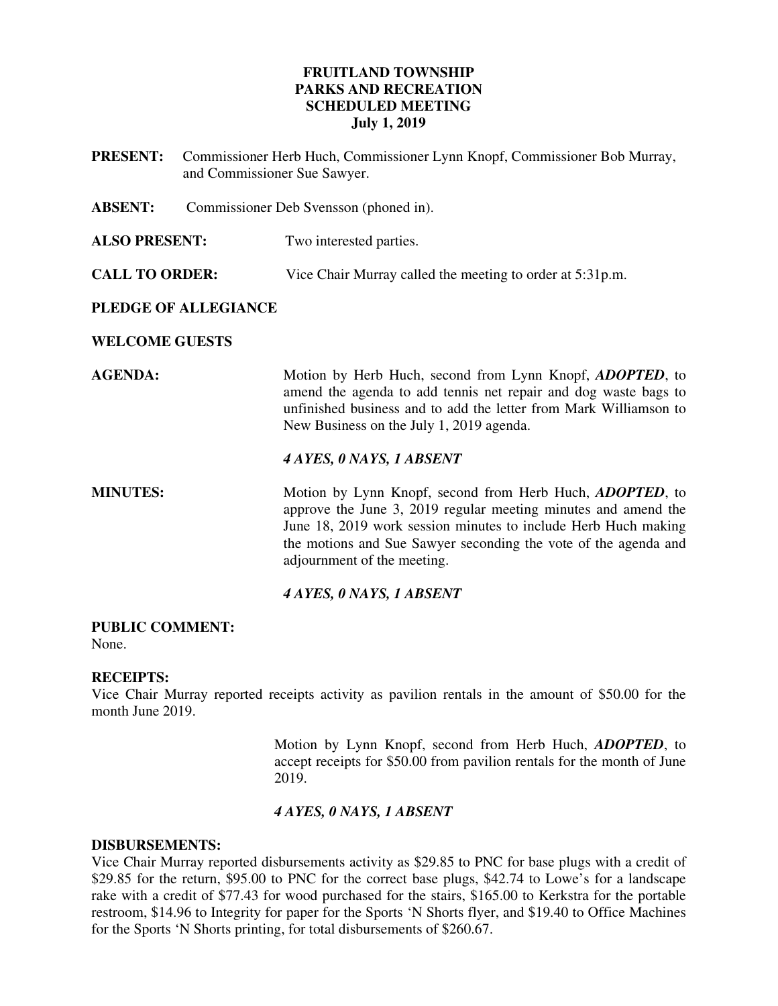## **FRUITLAND TOWNSHIP PARKS AND RECREATION SCHEDULED MEETING July 1, 2019**

**PRESENT:** Commissioner Herb Huch, Commissioner Lynn Knopf, Commissioner Bob Murray, and Commissioner Sue Sawyer.

**ABSENT:** Commissioner Deb Svensson (phoned in).

**ALSO PRESENT:** Two interested parties.

**CALL TO ORDER:** Vice Chair Murray called the meeting to order at 5:31p.m.

## **PLEDGE OF ALLEGIANCE**

## **WELCOME GUESTS**

**AGENDA:** Motion by Herb Huch, second from Lynn Knopf, *ADOPTED*, to amend the agenda to add tennis net repair and dog waste bags to unfinished business and to add the letter from Mark Williamson to New Business on the July 1, 2019 agenda.

### *4 AYES, 0 NAYS, 1 ABSENT*

**MINUTES:** Motion by Lynn Knopf, second from Herb Huch, *ADOPTED*, to approve the June 3, 2019 regular meeting minutes and amend the June 18, 2019 work session minutes to include Herb Huch making the motions and Sue Sawyer seconding the vote of the agenda and adjournment of the meeting.

### *4 AYES, 0 NAYS, 1 ABSENT*

### **PUBLIC COMMENT:**

None.

### **RECEIPTS:**

Vice Chair Murray reported receipts activity as pavilion rentals in the amount of \$50.00 for the month June 2019.

> Motion by Lynn Knopf, second from Herb Huch, *ADOPTED*, to accept receipts for \$50.00 from pavilion rentals for the month of June 2019.

### *4 AYES, 0 NAYS, 1 ABSENT*

### **DISBURSEMENTS:**

Vice Chair Murray reported disbursements activity as \$29.85 to PNC for base plugs with a credit of \$29.85 for the return, \$95.00 to PNC for the correct base plugs, \$42.74 to Lowe's for a landscape rake with a credit of \$77.43 for wood purchased for the stairs, \$165.00 to Kerkstra for the portable restroom, \$14.96 to Integrity for paper for the Sports 'N Shorts flyer, and \$19.40 to Office Machines for the Sports 'N Shorts printing, for total disbursements of \$260.67.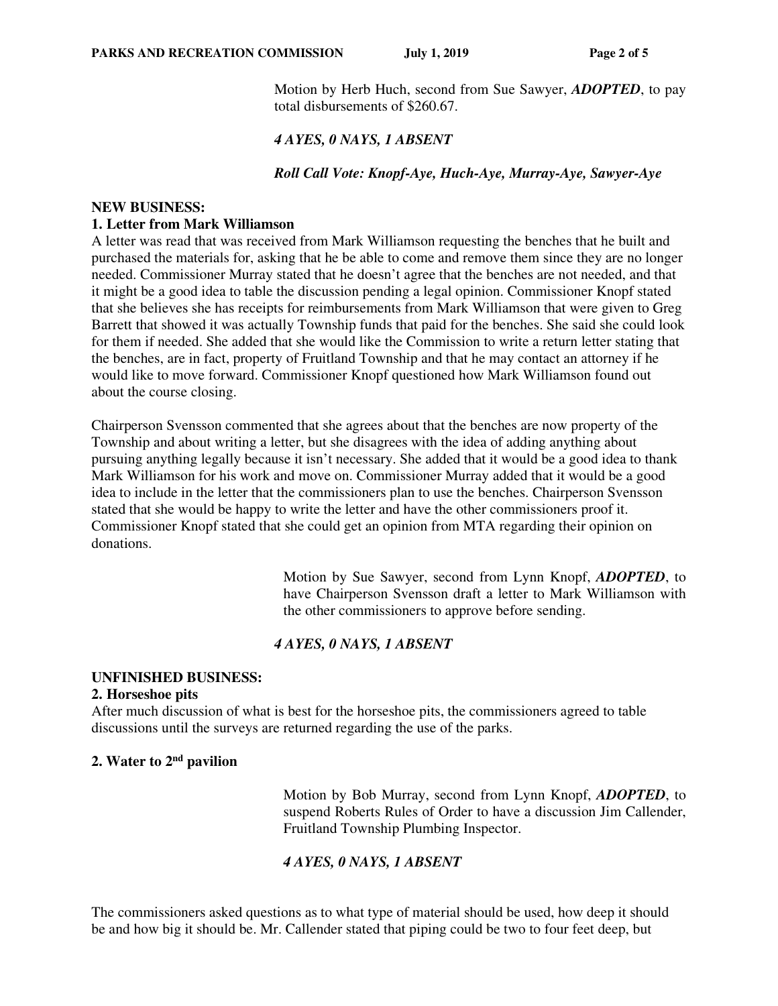Motion by Herb Huch, second from Sue Sawyer, *ADOPTED*, to pay total disbursements of \$260.67.

## *4 AYES, 0 NAYS, 1 ABSENT*

## *Roll Call Vote: Knopf-Aye, Huch-Aye, Murray-Aye, Sawyer-Aye*

#### **NEW BUSINESS: 1. Letter from Mark Williamson**

A letter was read that was received from Mark Williamson requesting the benches that he built and purchased the materials for, asking that he be able to come and remove them since they are no longer needed. Commissioner Murray stated that he doesn't agree that the benches are not needed, and that it might be a good idea to table the discussion pending a legal opinion. Commissioner Knopf stated that she believes she has receipts for reimbursements from Mark Williamson that were given to Greg Barrett that showed it was actually Township funds that paid for the benches. She said she could look for them if needed. She added that she would like the Commission to write a return letter stating that the benches, are in fact, property of Fruitland Township and that he may contact an attorney if he would like to move forward. Commissioner Knopf questioned how Mark Williamson found out about the course closing.

Chairperson Svensson commented that she agrees about that the benches are now property of the Township and about writing a letter, but she disagrees with the idea of adding anything about pursuing anything legally because it isn't necessary. She added that it would be a good idea to thank Mark Williamson for his work and move on. Commissioner Murray added that it would be a good idea to include in the letter that the commissioners plan to use the benches. Chairperson Svensson stated that she would be happy to write the letter and have the other commissioners proof it. Commissioner Knopf stated that she could get an opinion from MTA regarding their opinion on donations.

> Motion by Sue Sawyer, second from Lynn Knopf, *ADOPTED*, to have Chairperson Svensson draft a letter to Mark Williamson with the other commissioners to approve before sending.

## *4 AYES, 0 NAYS, 1 ABSENT*

### **UNFINISHED BUSINESS:**

### **2. Horseshoe pits**

After much discussion of what is best for the horseshoe pits, the commissioners agreed to table discussions until the surveys are returned regarding the use of the parks.

### **2. Water to 2nd pavilion**

 Motion by Bob Murray, second from Lynn Knopf, *ADOPTED*, to suspend Roberts Rules of Order to have a discussion Jim Callender, Fruitland Township Plumbing Inspector.

## *4 AYES, 0 NAYS, 1 ABSENT*

The commissioners asked questions as to what type of material should be used, how deep it should be and how big it should be. Mr. Callender stated that piping could be two to four feet deep, but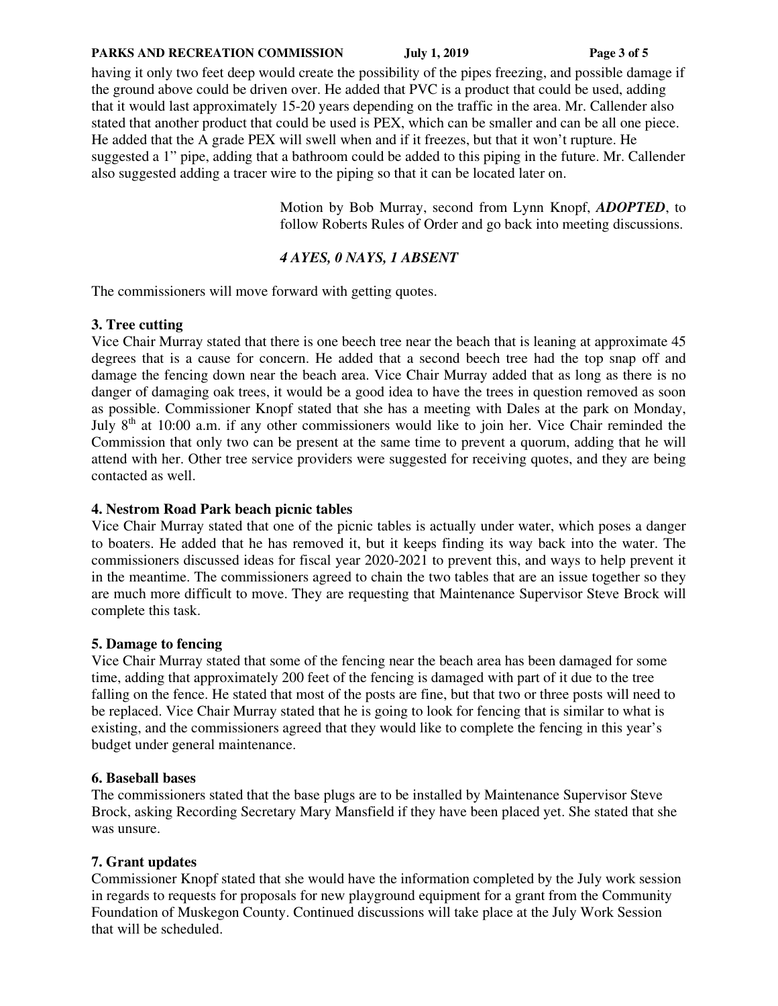#### **PARKS AND RECREATION COMMISSION** July 1, 2019 **Page 3 of 5**

having it only two feet deep would create the possibility of the pipes freezing, and possible damage if the ground above could be driven over. He added that PVC is a product that could be used, adding that it would last approximately 15-20 years depending on the traffic in the area. Mr. Callender also stated that another product that could be used is PEX, which can be smaller and can be all one piece. He added that the A grade PEX will swell when and if it freezes, but that it won't rupture. He suggested a 1" pipe, adding that a bathroom could be added to this piping in the future. Mr. Callender also suggested adding a tracer wire to the piping so that it can be located later on.

> Motion by Bob Murray, second from Lynn Knopf, *ADOPTED*, to follow Roberts Rules of Order and go back into meeting discussions.

## *4 AYES, 0 NAYS, 1 ABSENT*

The commissioners will move forward with getting quotes.

## **3. Tree cutting**

Vice Chair Murray stated that there is one beech tree near the beach that is leaning at approximate 45 degrees that is a cause for concern. He added that a second beech tree had the top snap off and damage the fencing down near the beach area. Vice Chair Murray added that as long as there is no danger of damaging oak trees, it would be a good idea to have the trees in question removed as soon as possible. Commissioner Knopf stated that she has a meeting with Dales at the park on Monday, July  $8<sup>th</sup>$  at 10:00 a.m. if any other commissioners would like to join her. Vice Chair reminded the Commission that only two can be present at the same time to prevent a quorum, adding that he will attend with her. Other tree service providers were suggested for receiving quotes, and they are being contacted as well.

## **4. Nestrom Road Park beach picnic tables**

Vice Chair Murray stated that one of the picnic tables is actually under water, which poses a danger to boaters. He added that he has removed it, but it keeps finding its way back into the water. The commissioners discussed ideas for fiscal year 2020-2021 to prevent this, and ways to help prevent it in the meantime. The commissioners agreed to chain the two tables that are an issue together so they are much more difficult to move. They are requesting that Maintenance Supervisor Steve Brock will complete this task.

## **5. Damage to fencing**

Vice Chair Murray stated that some of the fencing near the beach area has been damaged for some time, adding that approximately 200 feet of the fencing is damaged with part of it due to the tree falling on the fence. He stated that most of the posts are fine, but that two or three posts will need to be replaced. Vice Chair Murray stated that he is going to look for fencing that is similar to what is existing, and the commissioners agreed that they would like to complete the fencing in this year's budget under general maintenance.

## **6. Baseball bases**

The commissioners stated that the base plugs are to be installed by Maintenance Supervisor Steve Brock, asking Recording Secretary Mary Mansfield if they have been placed yet. She stated that she was unsure.

## **7. Grant updates**

Commissioner Knopf stated that she would have the information completed by the July work session in regards to requests for proposals for new playground equipment for a grant from the Community Foundation of Muskegon County. Continued discussions will take place at the July Work Session that will be scheduled.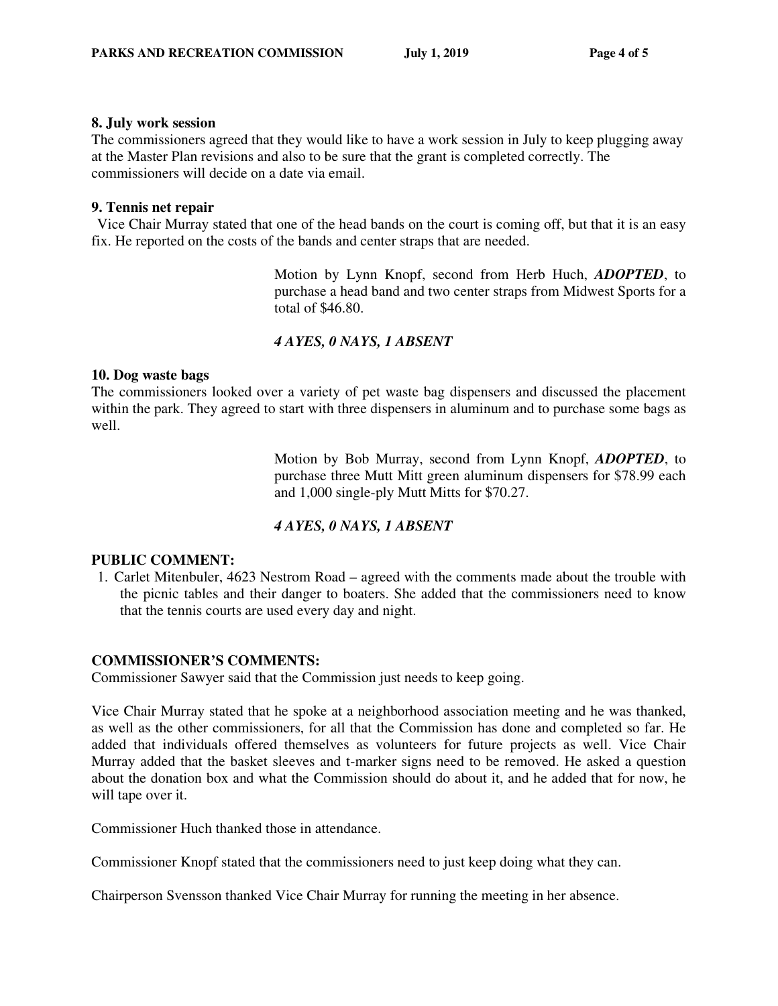## **8. July work session**

The commissioners agreed that they would like to have a work session in July to keep plugging away at the Master Plan revisions and also to be sure that the grant is completed correctly. The commissioners will decide on a date via email.

## **9. Tennis net repair**

 Vice Chair Murray stated that one of the head bands on the court is coming off, but that it is an easy fix. He reported on the costs of the bands and center straps that are needed.

> Motion by Lynn Knopf, second from Herb Huch, *ADOPTED*, to purchase a head band and two center straps from Midwest Sports for a total of \$46.80.

## *4 AYES, 0 NAYS, 1 ABSENT*

## **10. Dog waste bags**

The commissioners looked over a variety of pet waste bag dispensers and discussed the placement within the park. They agreed to start with three dispensers in aluminum and to purchase some bags as well.

> Motion by Bob Murray, second from Lynn Knopf, *ADOPTED*, to purchase three Mutt Mitt green aluminum dispensers for \$78.99 each and 1,000 single-ply Mutt Mitts for \$70.27.

## *4 AYES, 0 NAYS, 1 ABSENT*

## **PUBLIC COMMENT:**

1. Carlet Mitenbuler, 4623 Nestrom Road – agreed with the comments made about the trouble with the picnic tables and their danger to boaters. She added that the commissioners need to know that the tennis courts are used every day and night.

## **COMMISSIONER'S COMMENTS:**

Commissioner Sawyer said that the Commission just needs to keep going.

Vice Chair Murray stated that he spoke at a neighborhood association meeting and he was thanked, as well as the other commissioners, for all that the Commission has done and completed so far. He added that individuals offered themselves as volunteers for future projects as well. Vice Chair Murray added that the basket sleeves and t-marker signs need to be removed. He asked a question about the donation box and what the Commission should do about it, and he added that for now, he will tape over it.

Commissioner Huch thanked those in attendance.

Commissioner Knopf stated that the commissioners need to just keep doing what they can.

Chairperson Svensson thanked Vice Chair Murray for running the meeting in her absence.